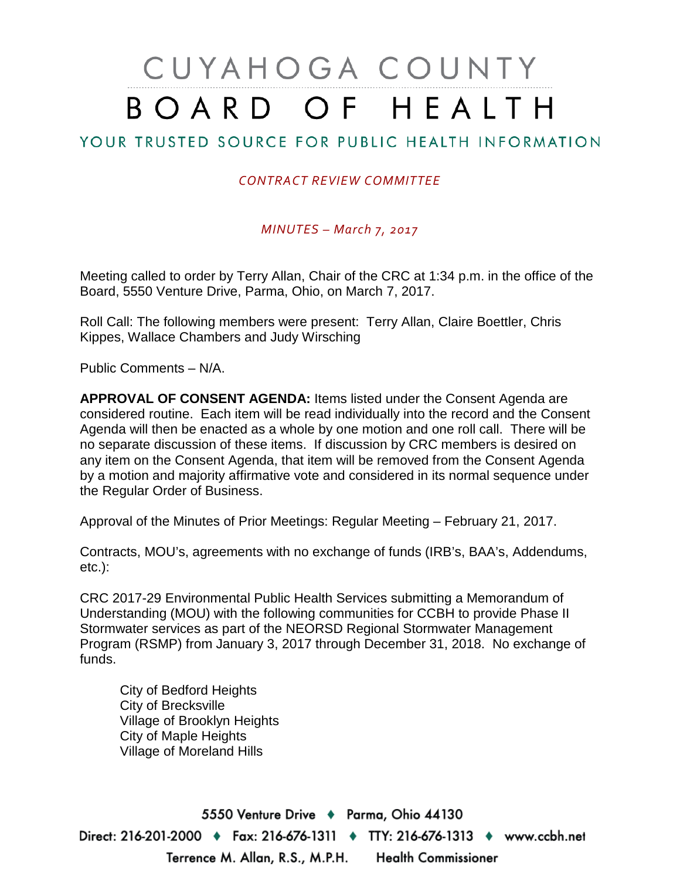# CUYAHOGA COUNTY BOARD OF HEALTH

# YOUR TRUSTED SOURCE FOR PUBLIC HEALTH INFORMATION

## *CONTRACT REVIEW COMMITTEE*

## *MINUTES – March 7, 2017*

Meeting called to order by Terry Allan, Chair of the CRC at 1:34 p.m. in the office of the Board, 5550 Venture Drive, Parma, Ohio, on March 7, 2017.

Roll Call: The following members were present: Terry Allan, Claire Boettler, Chris Kippes, Wallace Chambers and Judy Wirsching

Public Comments – N/A.

**APPROVAL OF CONSENT AGENDA:** Items listed under the Consent Agenda are considered routine. Each item will be read individually into the record and the Consent Agenda will then be enacted as a whole by one motion and one roll call. There will be no separate discussion of these items. If discussion by CRC members is desired on any item on the Consent Agenda, that item will be removed from the Consent Agenda by a motion and majority affirmative vote and considered in its normal sequence under the Regular Order of Business.

Approval of the Minutes of Prior Meetings: Regular Meeting – February 21, 2017.

Contracts, MOU's, agreements with no exchange of funds (IRB's, BAA's, Addendums, etc.):

CRC 2017-29 Environmental Public Health Services submitting a Memorandum of Understanding (MOU) with the following communities for CCBH to provide Phase II Stormwater services as part of the NEORSD Regional Stormwater Management Program (RSMP) from January 3, 2017 through December 31, 2018. No exchange of funds.

City of Bedford Heights City of Brecksville Village of Brooklyn Heights City of Maple Heights Village of Moreland Hills

5550 Venture Drive + Parma, Ohio 44130 Direct: 216-201-2000 ♦ Fax: 216-676-1311 ♦ TTY: 216-676-1313 ♦ www.ccbh.net Terrence M. Allan, R.S., M.P.H. **Health Commissioner**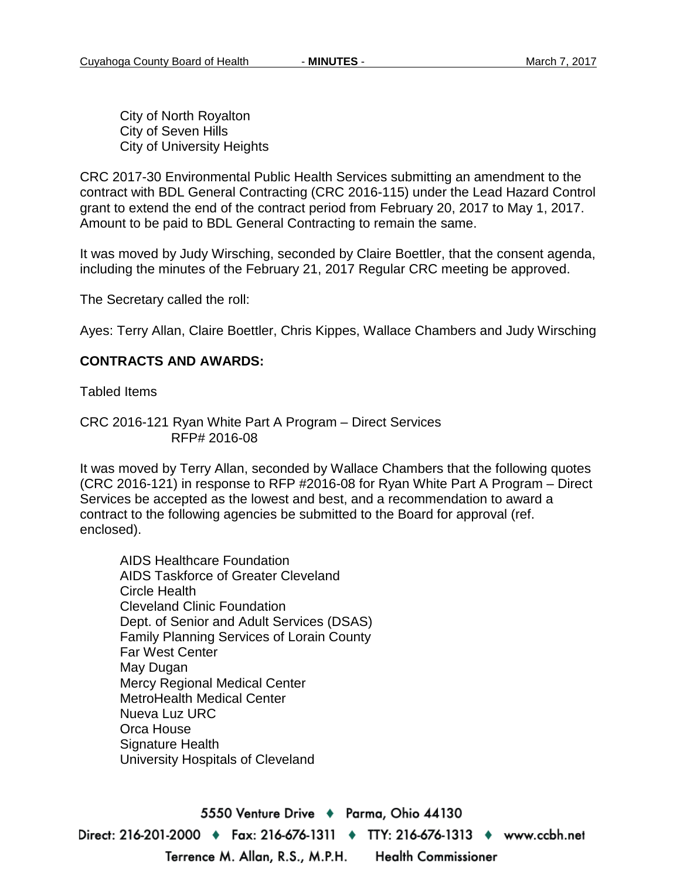City of North Royalton City of Seven Hills City of University Heights

CRC 2017-30 Environmental Public Health Services submitting an amendment to the contract with BDL General Contracting (CRC 2016-115) under the Lead Hazard Control grant to extend the end of the contract period from February 20, 2017 to May 1, 2017. Amount to be paid to BDL General Contracting to remain the same.

It was moved by Judy Wirsching, seconded by Claire Boettler, that the consent agenda, including the minutes of the February 21, 2017 Regular CRC meeting be approved.

The Secretary called the roll:

Ayes: Terry Allan, Claire Boettler, Chris Kippes, Wallace Chambers and Judy Wirsching

## **CONTRACTS AND AWARDS:**

Tabled Items

CRC 2016-121 Ryan White Part A Program – Direct Services RFP# 2016-08

It was moved by Terry Allan, seconded by Wallace Chambers that the following quotes (CRC 2016-121) in response to RFP #2016-08 for Ryan White Part A Program – Direct Services be accepted as the lowest and best, and a recommendation to award a contract to the following agencies be submitted to the Board for approval (ref. enclosed).

AIDS Healthcare Foundation AIDS Taskforce of Greater Cleveland Circle Health Cleveland Clinic Foundation Dept. of Senior and Adult Services (DSAS) Family Planning Services of Lorain County Far West Center May Dugan Mercy Regional Medical Center MetroHealth Medical Center Nueva Luz URC Orca House Signature Health University Hospitals of Cleveland

5550 Venture Drive + Parma, Ohio 44130 Direct: 216-201-2000 ♦ Fax: 216-676-1311 ♦ TTY: 216-676-1313 ♦ www.ccbh.net Terrence M. Allan, R.S., M.P.H. **Health Commissioner**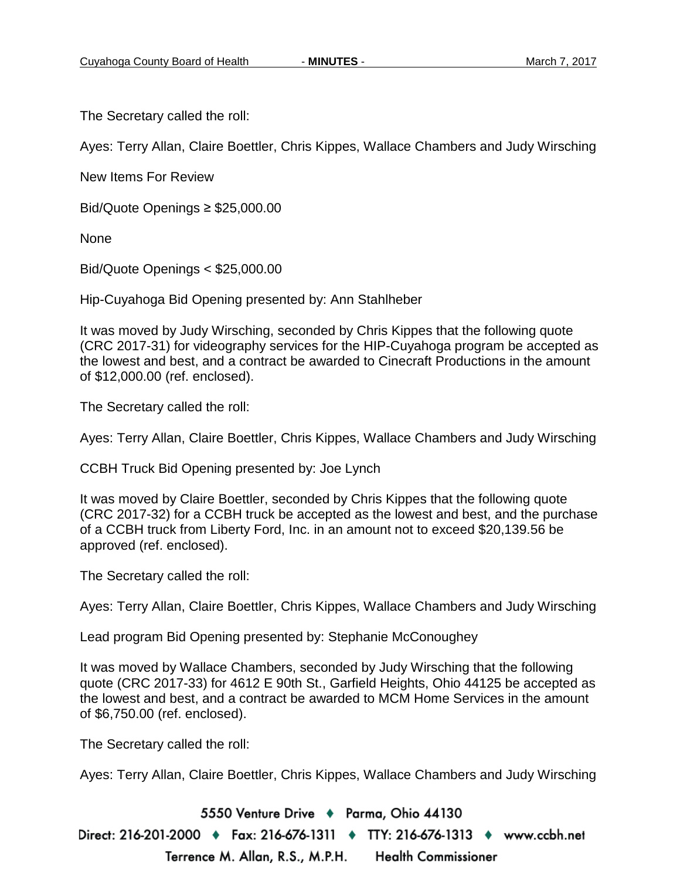The Secretary called the roll:

Ayes: Terry Allan, Claire Boettler, Chris Kippes, Wallace Chambers and Judy Wirsching

New Items For Review

Bid/Quote Openings ≥ \$25,000.00

None

Bid/Quote Openings < \$25,000.00

Hip-Cuyahoga Bid Opening presented by: Ann Stahlheber

It was moved by Judy Wirsching, seconded by Chris Kippes that the following quote (CRC 2017-31) for videography services for the HIP-Cuyahoga program be accepted as the lowest and best, and a contract be awarded to Cinecraft Productions in the amount of \$12,000.00 (ref. enclosed).

The Secretary called the roll:

Ayes: Terry Allan, Claire Boettler, Chris Kippes, Wallace Chambers and Judy Wirsching

CCBH Truck Bid Opening presented by: Joe Lynch

It was moved by Claire Boettler, seconded by Chris Kippes that the following quote (CRC 2017-32) for a CCBH truck be accepted as the lowest and best, and the purchase of a CCBH truck from Liberty Ford, Inc. in an amount not to exceed \$20,139.56 be approved (ref. enclosed).

The Secretary called the roll:

Ayes: Terry Allan, Claire Boettler, Chris Kippes, Wallace Chambers and Judy Wirsching

Lead program Bid Opening presented by: Stephanie McConoughey

It was moved by Wallace Chambers, seconded by Judy Wirsching that the following quote (CRC 2017-33) for 4612 E 90th St., Garfield Heights, Ohio 44125 be accepted as the lowest and best, and a contract be awarded to MCM Home Services in the amount of \$6,750.00 (ref. enclosed).

The Secretary called the roll:

Ayes: Terry Allan, Claire Boettler, Chris Kippes, Wallace Chambers and Judy Wirsching

5550 Venture Drive + Parma, Ohio 44130

Direct: 216-201-2000 ♦ Fax: 216-676-1311 ♦ TTY: 216-676-1313 ♦ www.ccbh.net Terrence M. Allan, R.S., M.P.H. **Health Commissioner**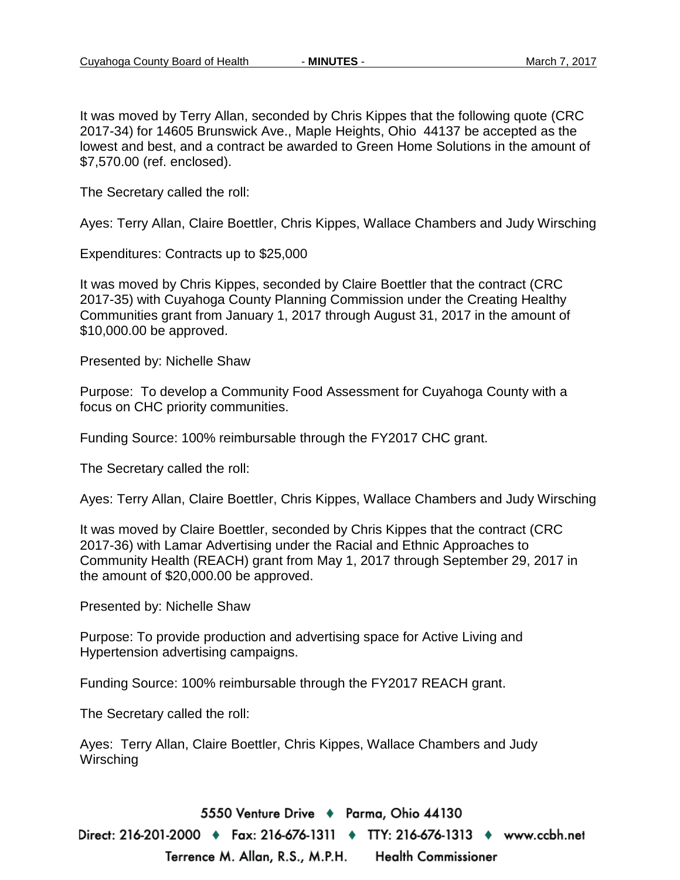It was moved by Terry Allan, seconded by Chris Kippes that the following quote (CRC 2017-34) for 14605 Brunswick Ave., Maple Heights, Ohio 44137 be accepted as the lowest and best, and a contract be awarded to Green Home Solutions in the amount of \$7,570.00 (ref. enclosed).

The Secretary called the roll:

Ayes: Terry Allan, Claire Boettler, Chris Kippes, Wallace Chambers and Judy Wirsching

Expenditures: Contracts up to \$25,000

It was moved by Chris Kippes, seconded by Claire Boettler that the contract (CRC 2017-35) with Cuyahoga County Planning Commission under the Creating Healthy Communities grant from January 1, 2017 through August 31, 2017 in the amount of \$10,000.00 be approved.

Presented by: Nichelle Shaw

Purpose: To develop a Community Food Assessment for Cuyahoga County with a focus on CHC priority communities.

Funding Source: 100% reimbursable through the FY2017 CHC grant.

The Secretary called the roll:

Ayes: Terry Allan, Claire Boettler, Chris Kippes, Wallace Chambers and Judy Wirsching

It was moved by Claire Boettler, seconded by Chris Kippes that the contract (CRC 2017-36) with Lamar Advertising under the Racial and Ethnic Approaches to Community Health (REACH) grant from May 1, 2017 through September 29, 2017 in the amount of \$20,000.00 be approved.

Presented by: Nichelle Shaw

Purpose: To provide production and advertising space for Active Living and Hypertension advertising campaigns.

Funding Source: 100% reimbursable through the FY2017 REACH grant.

The Secretary called the roll:

Ayes: Terry Allan, Claire Boettler, Chris Kippes, Wallace Chambers and Judy **Wirsching** 

5550 Venture Drive + Parma, Ohio 44130

Direct: 216-201-2000 ♦ Fax: 216-676-1311 ♦ TTY: 216-676-1313 ♦ www.ccbh.net Terrence M. Allan, R.S., M.P.H. **Health Commissioner**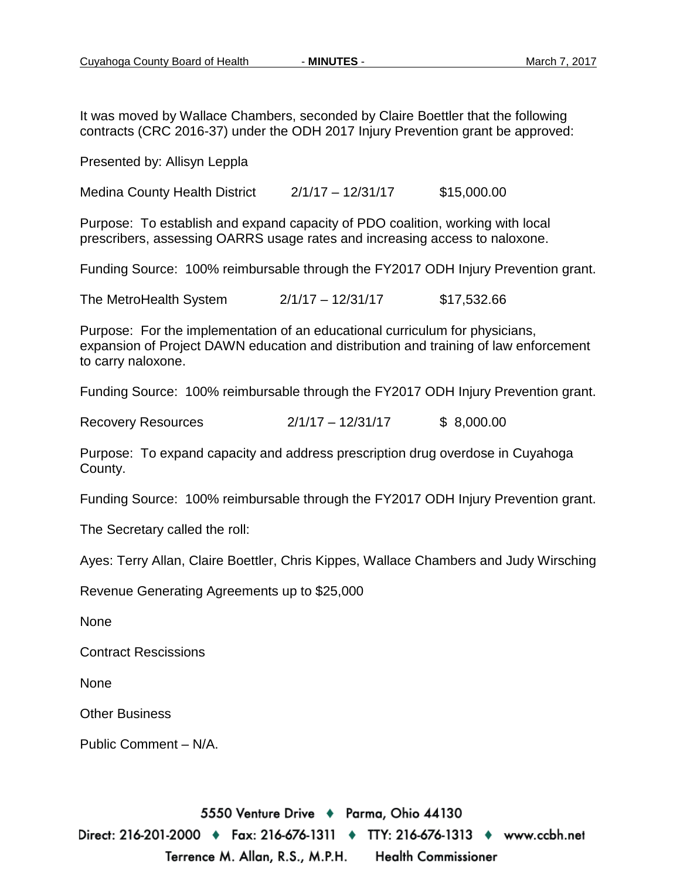It was moved by Wallace Chambers, seconded by Claire Boettler that the following contracts (CRC 2016-37) under the ODH 2017 Injury Prevention grant be approved:

Presented by: Allisyn Leppla

Medina County Health District 2/1/17 – 12/31/17 \$15,000.00

Purpose: To establish and expand capacity of PDO coalition, working with local prescribers, assessing OARRS usage rates and increasing access to naloxone.

Funding Source: 100% reimbursable through the FY2017 ODH Injury Prevention grant.

The MetroHealth System 2/1/17 – 12/31/17 \$17,532.66

Purpose: For the implementation of an educational curriculum for physicians, expansion of Project DAWN education and distribution and training of law enforcement to carry naloxone.

Funding Source: 100% reimbursable through the FY2017 ODH Injury Prevention grant.

Recovery Resources 2/1/17 – 12/31/17 \$ 8,000.00

Purpose: To expand capacity and address prescription drug overdose in Cuyahoga County.

Funding Source: 100% reimbursable through the FY2017 ODH Injury Prevention grant.

The Secretary called the roll:

Ayes: Terry Allan, Claire Boettler, Chris Kippes, Wallace Chambers and Judy Wirsching

Revenue Generating Agreements up to \$25,000

None

Contract Rescissions

None

Other Business

Public Comment – N/A.

5550 Venture Drive + Parma, Ohio 44130 Direct: 216-201-2000 ♦ Fax: 216-676-1311 ♦ TTY: 216-676-1313 ♦ www.ccbh.net Terrence M. Allan, R.S., M.P.H. **Health Commissioner**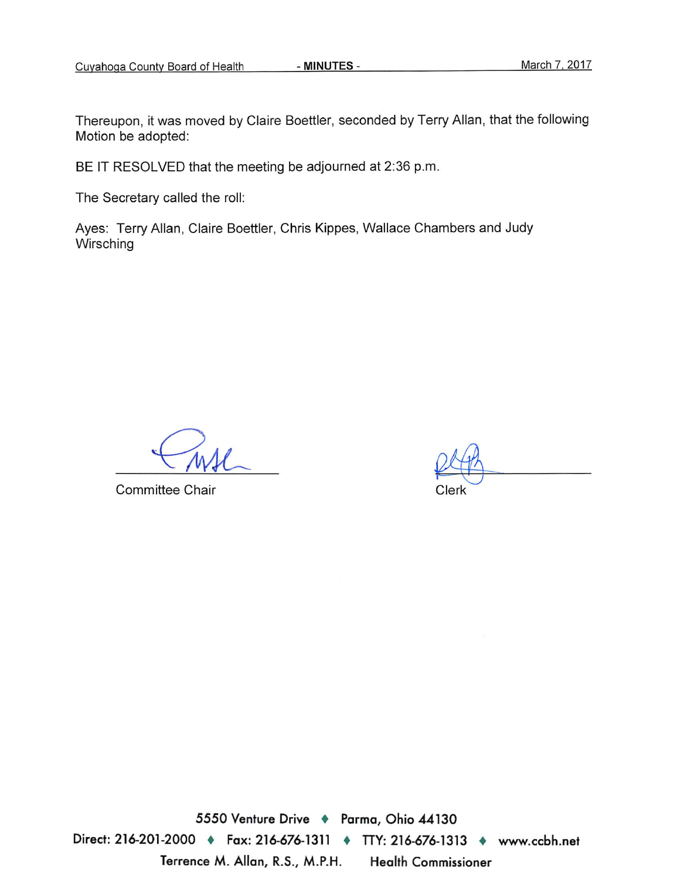- MINUTES -

BE IT RESOLVED that the meeting be adjourned at 2:36 p.m.

The Secretary called the roll:

Ayes: Terry Allan, Claire Boettler, Chris Kippes, Wallace Chambers and Judy Wirsching

**Committee Chair** 

5550 Venture Drive + Parma, Ohio 44130 Direct: 216-201-2000 • Fax: 216-676-1311 • TTY: 216-676-1313 • www.ccbh.net Terrence M. Allan, R.S., M.P.H. **Health Commissioner**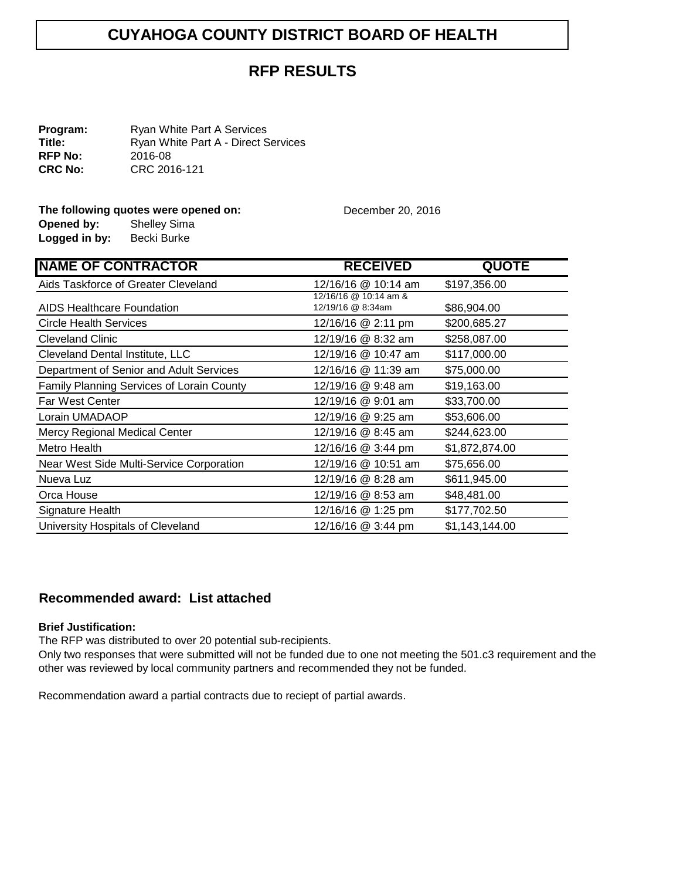## **RFP RESULTS**

**Program:** Ryan White Part A Services<br> **Title:** Ryan White Part A - Direct S Ryan White Part A - Direct Services<br>2016-08 **RFP No:**<br>CRC No: **CRC No:** CRC 2016-121

#### **The following quotes were opened on:** December 20, 2016

| Opened by:    | <b>Shelley Sima</b> |
|---------------|---------------------|
| Logged in by: | Becki Burke         |

| <b>NAME OF CONTRACTOR</b>                 | <b>RECEIVED</b>                            | <b>QUOTE</b>   |
|-------------------------------------------|--------------------------------------------|----------------|
| Aids Taskforce of Greater Cleveland       | 12/16/16 @ 10:14 am                        | \$197,356.00   |
| AIDS Healthcare Foundation                | 12/16/16 @ 10:14 am &<br>12/19/16 @ 8:34am | \$86,904.00    |
| <b>Circle Health Services</b>             | 12/16/16 @ 2:11 pm                         | \$200,685.27   |
| <b>Cleveland Clinic</b>                   | 12/19/16 @ 8:32 am                         | \$258,087.00   |
| Cleveland Dental Institute, LLC           | 12/19/16 @ 10:47 am                        | \$117,000.00   |
| Department of Senior and Adult Services   | 12/16/16 @ 11:39 am                        | \$75,000.00    |
| Family Planning Services of Lorain County | 12/19/16 @ 9:48 am                         | \$19,163.00    |
| <b>Far West Center</b>                    | 12/19/16 @ 9:01 am                         | \$33,700.00    |
| Lorain UMADAOP                            | 12/19/16 @ 9:25 am                         | \$53,606.00    |
| Mercy Regional Medical Center             | 12/19/16 @ 8:45 am                         | \$244,623.00   |
| Metro Health                              | 12/16/16 @ 3:44 pm                         | \$1,872,874.00 |
| Near West Side Multi-Service Corporation  | 12/19/16 @ 10:51 am                        | \$75,656.00    |
| Nueva Luz                                 | 12/19/16 @ 8:28 am                         | \$611,945.00   |
| Orca House                                | 12/19/16 @ 8:53 am                         | \$48,481.00    |
| Signature Health                          | 12/16/16 @ 1:25 pm                         | \$177,702.50   |
| University Hospitals of Cleveland         | 12/16/16 @ 3:44 pm                         | \$1,143,144.00 |

## **Recommended award: List attached**

#### **Brief Justification:**

The RFP was distributed to over 20 potential sub-recipients.

Only two responses that were submitted will not be funded due to one not meeting the 501.c3 requirement and the other was reviewed by local community partners and recommended they not be funded.

Recommendation award a partial contracts due to reciept of partial awards.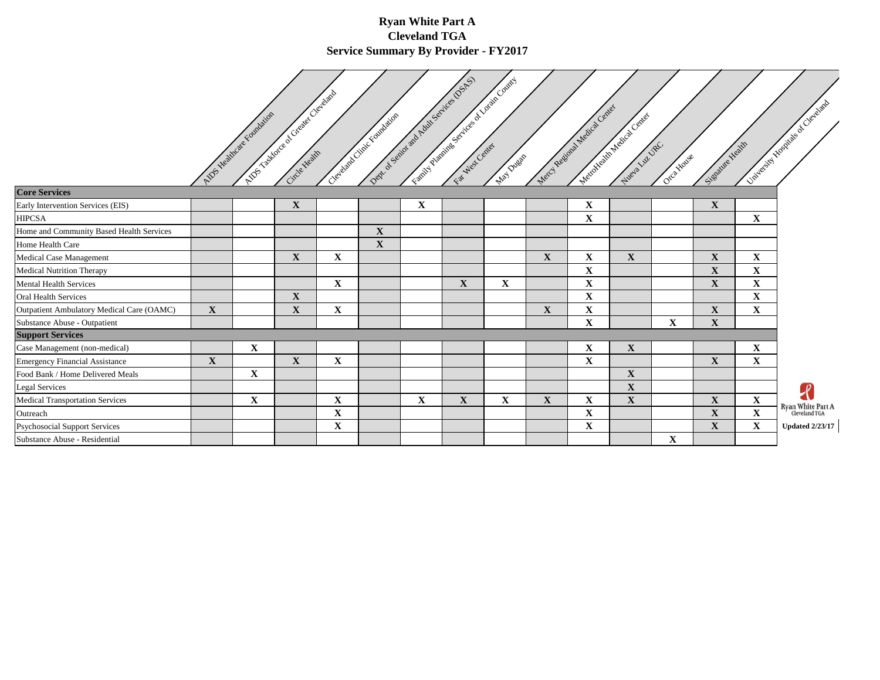#### **Ryan White Part A Cleveland TGA Service Summary By Provider - FY2017**

 $\sqrt{ }$ 

|                                           |              | ADS Healthcare Fishballons | A Total decision of Crewer Cleveland |             | Dept of Spirit and Audit Sequence Depts<br>Clergian Critics Computing |             |             | FOR DEVELOPMENT SOCIETY OF SUCH OF CONTEXT<br>May Dueas | Metal Regional Medical Center | Metapholister Accords Context | Week Luzbec | Orch House  | Signalise Health |              | Luisi en il de propiese de Cacades |
|-------------------------------------------|--------------|----------------------------|--------------------------------------|-------------|-----------------------------------------------------------------------|-------------|-------------|---------------------------------------------------------|-------------------------------|-------------------------------|-------------|-------------|------------------|--------------|------------------------------------|
| <b>Core Services</b>                      |              |                            |                                      |             |                                                                       |             |             |                                                         |                               |                               |             |             |                  |              |                                    |
| Early Intervention Services (EIS)         |              |                            | $\mathbf{X}$                         |             |                                                                       | $\mathbf X$ |             |                                                         |                               | $\mathbf X$                   |             |             | $\mathbf{X}$     |              |                                    |
| <b>HIPCSA</b>                             |              |                            |                                      |             |                                                                       |             |             |                                                         |                               | $\mathbf X$                   |             |             |                  | $\mathbf X$  |                                    |
| Home and Community Based Health Services  |              |                            |                                      |             | $\mathbf{X}$                                                          |             |             |                                                         |                               |                               |             |             |                  |              |                                    |
| Home Health Care                          |              |                            |                                      |             | X                                                                     |             |             |                                                         |                               |                               |             |             |                  |              |                                    |
| <b>Medical Case Management</b>            |              |                            | $\mathbf X$                          | $\mathbf X$ |                                                                       |             |             |                                                         | $\mathbf X$                   | $\mathbf X$                   | $\mathbf X$ |             | $\mathbf{X}$     | $\mathbf X$  |                                    |
| <b>Medical Nutrition Therapy</b>          |              |                            |                                      |             |                                                                       |             |             |                                                         |                               | $\mathbf X$                   |             |             | $\mathbf X$      | $\mathbf X$  |                                    |
| <b>Mental Health Services</b>             |              |                            |                                      | $\mathbf X$ |                                                                       |             | X           | $\mathbf X$                                             |                               | $\mathbf X$                   |             |             | $\mathbf{X}$     | $\mathbf X$  |                                    |
| <b>Oral Health Services</b>               |              |                            | $\mathbf{X}$                         |             |                                                                       |             |             |                                                         |                               | $\mathbf X$                   |             |             |                  | $\mathbf X$  |                                    |
| Outpatient Ambulatory Medical Care (OAMC) | $\mathbf{X}$ |                            | $\mathbf{X}$                         | $\mathbf X$ |                                                                       |             |             |                                                         | $\mathbf X$                   | $\mathbf X$                   |             |             | $\mathbf{X}$     | $\mathbf{X}$ |                                    |
| Substance Abuse - Outpatient              |              |                            |                                      |             |                                                                       |             |             |                                                         |                               | $\mathbf X$                   |             | $\mathbf X$ | $\mathbf X$      |              |                                    |
| <b>Support Services</b>                   |              |                            |                                      |             |                                                                       |             |             |                                                         |                               |                               |             |             |                  |              |                                    |
| Case Management (non-medical)             |              | $\mathbf X$                |                                      |             |                                                                       |             |             |                                                         |                               | $\mathbf X$                   | $\mathbf X$ |             |                  | X            |                                    |
| <b>Emergency Financial Assistance</b>     | $\mathbf{X}$ |                            | $\mathbf X$                          | $\mathbf X$ |                                                                       |             |             |                                                         |                               | $\mathbf X$                   |             |             | $\mathbf{X}$     | $\mathbf{X}$ |                                    |
| Food Bank / Home Delivered Meals          |              | $\mathbf X$                |                                      |             |                                                                       |             |             |                                                         |                               |                               | $\mathbf X$ |             |                  |              |                                    |
| <b>Legal Services</b>                     |              |                            |                                      |             |                                                                       |             |             |                                                         |                               |                               | $\mathbf X$ |             |                  |              |                                    |
| <b>Medical Transportation Services</b>    |              | $\mathbf X$                |                                      | X           |                                                                       | $\mathbf X$ | $\mathbf X$ | $\mathbf X$                                             | $\mathbf X$                   | X                             | $\mathbf X$ |             | $\mathbf X$      | $\mathbf X$  |                                    |
| Outreach                                  |              |                            |                                      | $\mathbf X$ |                                                                       |             |             |                                                         |                               | $\mathbf X$                   |             |             | $\mathbf{X}$     | $\mathbf X$  | Ryan White Part A<br>Cleveland TGA |
| <b>Psychosocial Support Services</b>      |              |                            |                                      | $\mathbf X$ |                                                                       |             |             |                                                         |                               | $\mathbf X$                   |             |             | $\mathbf{X}$     | $\mathbf X$  | Updated $2/23/17\,$                |
| Substance Abuse - Residential             |              |                            |                                      |             |                                                                       |             |             |                                                         |                               |                               |             | $\mathbf X$ |                  |              |                                    |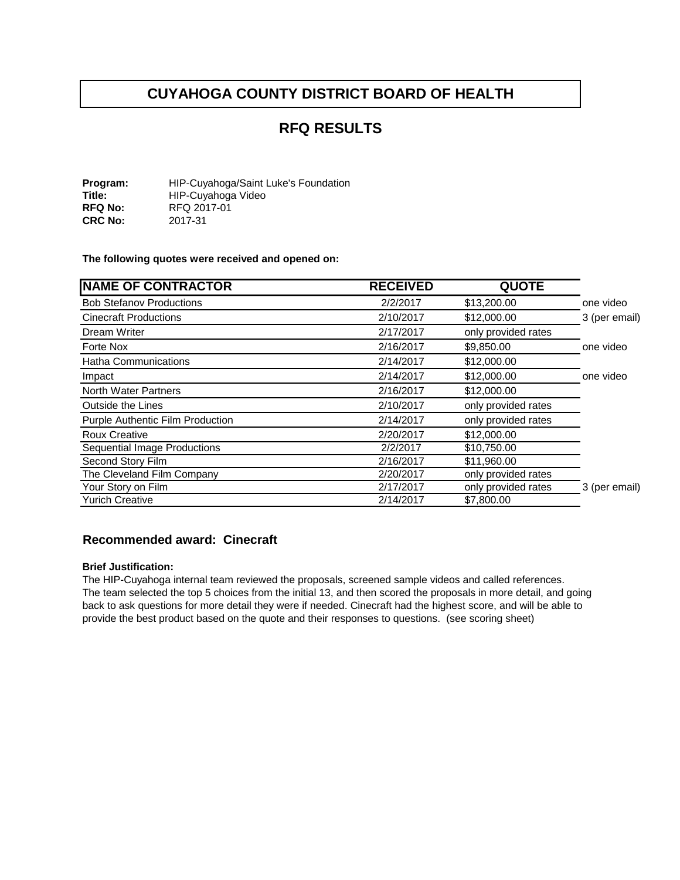## **RFQ RESULTS**

**Program:** HIP-Cuyahoga/Saint Luke's Foundation<br> **Title:** HIP-Cuyahoga Video **Title:** HIP-Cuyahoga Video<br>
RFQ No: RFQ 2017-01 **RFQ 2017-01**<br>2017-31 **CRC No:** 

**The following quotes were received and opened on:** 

| <b>NAME OF CONTRACTOR</b>           | <b>RECEIVED</b> | <b>QUOTE</b>        |               |
|-------------------------------------|-----------------|---------------------|---------------|
| <b>Bob Stefanov Productions</b>     | 2/2/2017        | \$13,200.00         | one video     |
| <b>Cinecraft Productions</b>        | 2/10/2017       | \$12,000.00         | 3 (per email) |
| Dream Writer                        | 2/17/2017       | only provided rates |               |
| Forte Nox                           | 2/16/2017       | \$9,850.00          | one video     |
| Hatha Communications                | 2/14/2017       | \$12,000.00         |               |
| Impact                              | 2/14/2017       | \$12,000.00         | one video     |
| <b>North Water Partners</b>         | 2/16/2017       | \$12,000.00         |               |
| Outside the Lines                   | 2/10/2017       | only provided rates |               |
| Purple Authentic Film Production    | 2/14/2017       | only provided rates |               |
| <b>Roux Creative</b>                | 2/20/2017       | \$12,000.00         |               |
| <b>Sequential Image Productions</b> | 2/2/2017        | \$10,750.00         |               |
| Second Story Film                   | 2/16/2017       | \$11,960.00         |               |
| The Cleveland Film Company          | 2/20/2017       | only provided rates |               |
| Your Story on Film                  | 2/17/2017       | only provided rates | 3 (per email) |
| <b>Yurich Creative</b>              | 2/14/2017       | \$7,800.00          |               |

#### **Recommended award: Cinecraft**

#### **Brief Justification:**

The HIP-Cuyahoga internal team reviewed the proposals, screened sample videos and called references. The team selected the top 5 choices from the initial 13, and then scored the proposals in more detail, and going back to ask questions for more detail they were if needed. Cinecraft had the highest score, and will be able to provide the best product based on the quote and their responses to questions. (see scoring sheet)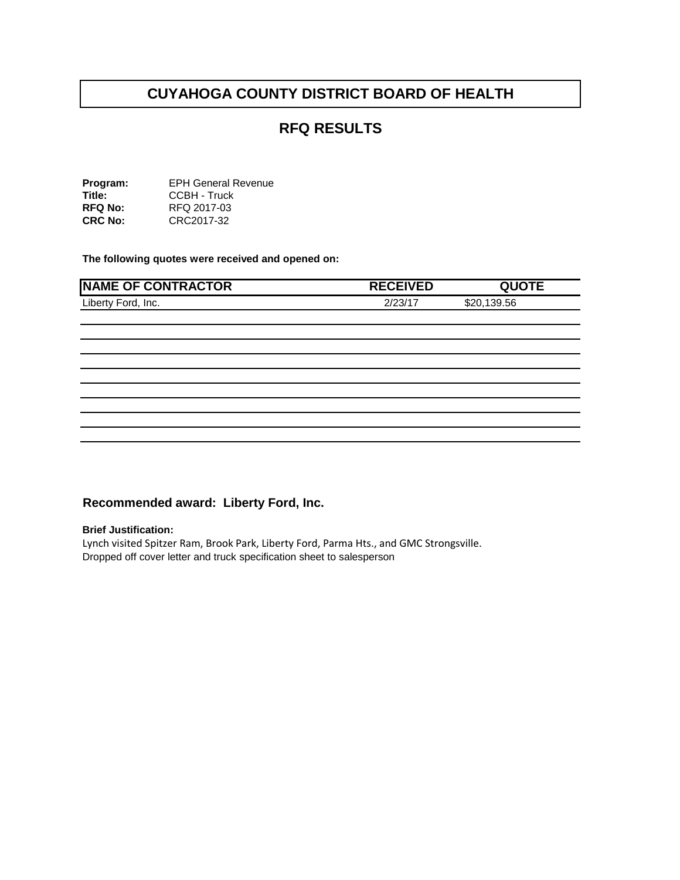## **RFQ RESULTS**

**Program: Title: RFQ No: CRC No:**  EPH General Revenue CCBH - Truck RFQ 2017-03 CRC2017-32

**The following quotes were received and opened on:** 

| <b>NAME OF CONTRACTOR</b> | <b>RECEIVED</b> | <b>QUOTE</b> |
|---------------------------|-----------------|--------------|
| Liberty Ford, Inc.        | 2/23/17         | \$20,139.56  |
|                           |                 |              |
|                           |                 |              |
|                           |                 |              |
|                           |                 |              |
|                           |                 |              |
|                           |                 |              |
|                           |                 |              |
|                           |                 |              |
|                           |                 |              |

## **Recommended award: Liberty Ford, Inc.**

#### **Brief Justification:**

Lynch visited Spitzer Ram, Brook Park, Liberty Ford, Parma Hts., and GMC Strongsville. Dropped off cover letter and truck specification sheet to salesperson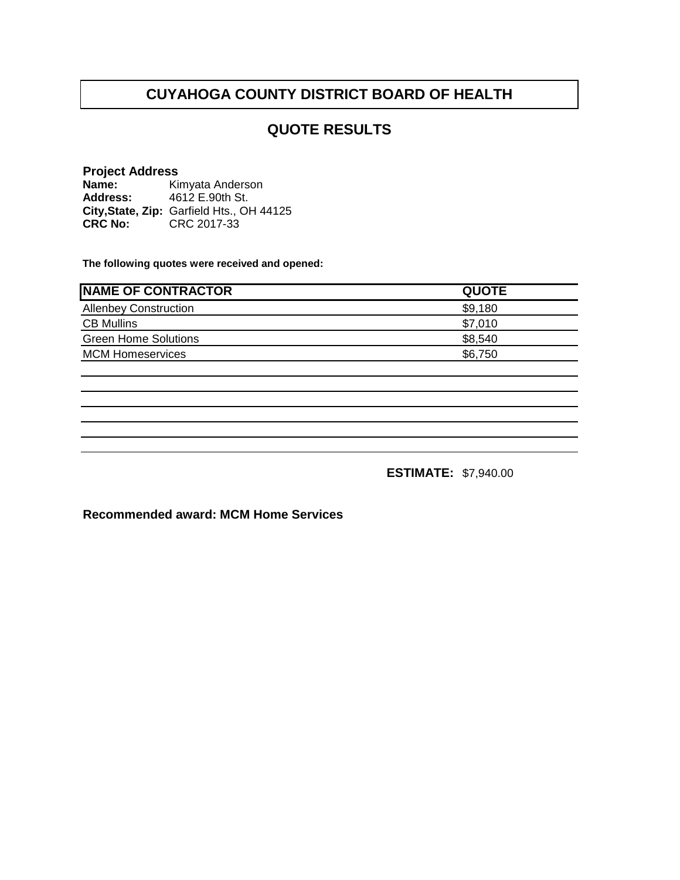## **QUOTE RESULTS**

## **Project Address**

**Name: Address: City,State, Zip:** Garfield Hts., OH 44125**CRC No: CRC 2017-33** Kimyata Anderson 4612 E.90th St.

**The following quotes were received and opened:**

| <b>QUOTE</b> | <b>INAME OF CONTRACTOR</b>   |
|--------------|------------------------------|
| \$9,180      | <b>Allenbey Construction</b> |
| \$7,010      | <b>CB Mullins</b>            |
| \$8,540      | <b>Green Home Solutions</b>  |
| \$6,750      | <b>MCM Homeservices</b>      |
|              |                              |

**ESTIMATE:** \$7,940.00

**Recommended award: MCM Home Services**